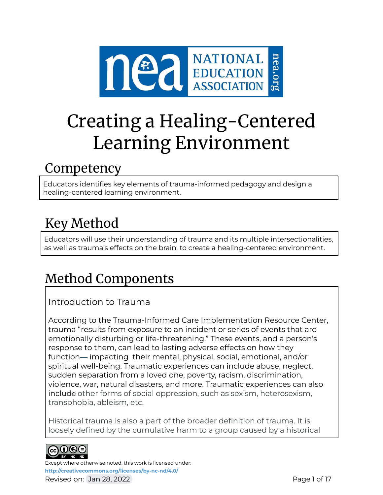

# Creating a Healing-Centered Learning Environment

## Competency

Educators identifies key elements of trauma-informed pedagogy and design a healing-centered learning environment.

## Key Method

Educators will use their understanding of trauma and its multiple intersectionalities, as well as trauma's effects on the brain, to create a healing-centered environment.

## Method Components

## Introduction to Trauma

According to the Trauma-Informed Care Implementation Resource Center, trauma "results from exposure to an incident or series of events that are emotionally disturbing or life-threatening." These events, and a person's response to them, can lead to lasting adverse effects on how they function— impacting their mental, physical, social, emotional, and/or spiritual well-being. Traumatic experiences can include abuse, neglect, sudden separation from a loved one, poverty, racism, discrimination, violence, war, natural disasters, and more. Traumatic experiences can also include other forms of social oppression, such as sexism, heterosexism, transphobia, ableism, etc.

Historical trauma is also a part of the broader definition of trauma. It is loosely defined by the cumulative harm to a group caused by a historical



Except where otherwise noted, this work is licensed under: **<http://creativecommons.org/licenses/by-nc-nd/4.0/>** Revised on: Jan 28, 2022 **Page 1 of 17** and 2012 **Page 1 of 17**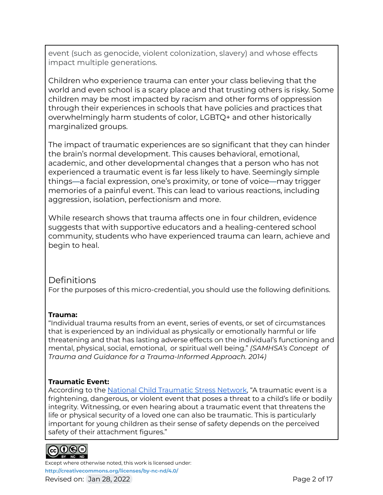event (such as genocide, violent colonization, slavery) and whose effects impact multiple generations.

Children who experience trauma can enter your class believing that the world and even school is a scary place and that trusting others is risky. Some children may be most impacted by racism and other forms of oppression through their experiences in schools that have policies and practices that overwhelmingly harm students of color, LGBTQ+ and other historically marginalized groups.

The impact of traumatic experiences are so significant that they can hinder the brain's normal development. This causes behavioral, emotional, academic, and other developmental changes that a person who has not experienced a traumatic event is far less likely to have. Seemingly simple things—a facial expression, one's proximity, or tone of voice—may trigger memories of a painful event. This can lead to various reactions, including aggression, isolation, perfectionism and more.

While research shows that trauma affects one in four children, evidence suggests that with supportive educators and a healing-centered school community, students who have experienced trauma can learn, achieve and begin to heal.

## **Definitions**

For the purposes of this micro-credential, you should use the following definitions.

### **Trauma:**

"Individual trauma results from an event, series of events, or set of circumstances that is experienced by an individual as physically or emotionally harmful or life threatening and that has lasting adverse effects on the individual's functioning and mental, physical, social, emotional, or spiritual well being." *(SAMHSA's Concept of Trauma and Guidance for a Trauma-Informed Approach. 2014)*

### **Traumatic Event:**

According to the National Child [Traumatic](https://www.nctsn.org/) Stress Network, "A traumatic event is a frightening, dangerous, or violent event that poses a threat to a child's life or bodily integrity. Witnessing, or even hearing about a traumatic event that threatens the life or physical security of a loved one can also be traumatic. This is particularly important for young children as their sense of safety depends on the perceived safety of their attachment figures."



Except where otherwise noted, this work is licensed under: **<http://creativecommons.org/licenses/by-nc-nd/4.0/>** Revised on: Jan 28, 2022 **Page 2 of 17** Revised on: Jan 28, 2022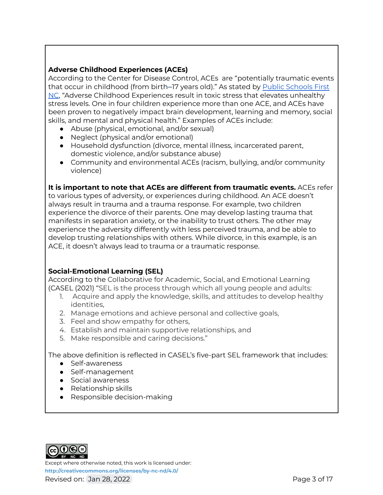#### **Adverse Childhood Experiences (ACEs)**

According to the Center for Disease Control, ACEs are "potentially traumatic events that occur in childhood (from birth–17 years old)." As stated by Public [Schools](https://www.publicschoolsfirstnc.org/about-psfnc/) First [NC](https://www.publicschoolsfirstnc.org/about-psfnc/), "Adverse Childhood Experiences result in toxic stress that elevates unhealthy stress levels. One in four children experience more than one ACE, and ACEs have been proven to negatively impact brain development, learning and memory, social skills, and mental and physical health." Examples of ACEs include:

- Abuse (physical, emotional, and/or sexual)
- Neglect (physical and/or emotional)
- Household dysfunction (divorce, mental illness, incarcerated parent, domestic violence, and/or substance abuse)
- Community and environmental ACEs (racism, bullying, and/or community violence)

**It is important to note that ACEs are different from traumatic events.** ACEs refer

to various types of adversity, or experiences during childhood. An ACE doesn't always result in trauma and a trauma response. For example, two children experience the divorce of their parents. One may develop lasting trauma that manifests in separation anxiety, or the inability to trust others. The other may experience the adversity differently with less perceived trauma, and be able to develop trusting relationships with others. While divorce, in this example, is an ACE, it doesn't always lead to trauma or a traumatic response.

#### **Social-Emotional Learning (SEL)**

According to the Collaborative for Academic, Social, and Emotional Learning (CASEL (2021) "SEL is the process through which all young people and adults:

- 1. Acquire and apply the knowledge, skills, and attitudes to develop healthy identities,
- 2. Manage emotions and achieve personal and collective goals,
- 3. Feel and show empathy for others,
- 4. Establish and maintain supportive relationships, and
- 5. Make responsible and caring decisions."

The above definition is reflected in CASEL's five-part SEL framework that includes:

- Self-awareness
- Self-management
- Social awareness
- Relationship skills
- Responsible decision-making



Except where otherwise noted, this work is licensed under: **<http://creativecommons.org/licenses/by-nc-nd/4.0/>** Revised on: Jan 28, 2022 **Page 3 of 17** and 2012 **Page 3 of 17**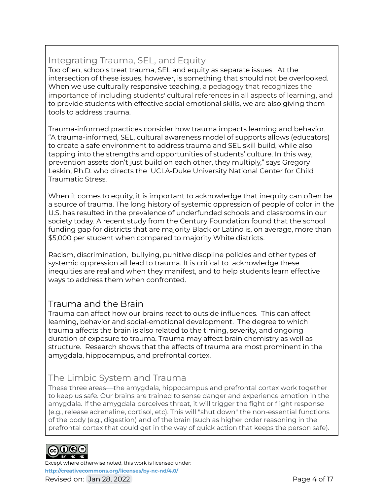## Integrating Trauma, SEL, and Equity

Too often, schools treat trauma, SEL and equity as separate issues. At the intersection of these issues, however, is something that should not be overlooked. When we use culturally responsive teaching, a pedagogy that recognizes the importance of including students' cultural references in all aspects of learning, and to provide students with effective social emotional skills, we are also giving them tools to address trauma.

Trauma-informed practices consider how trauma impacts learning and behavior. "A trauma-informed, SEL, cultural awareness model of supports allows (educators) to create a safe environment to address trauma and SEL skill build, while also tapping into the strengths and opportunities of students' culture. In this way, prevention assets don't just build on each other, they multiply," says Gregory Leskin, Ph.D. who directs the UCLA-Duke University National Center for Child Traumatic Stress.

When it comes to equity, it is important to acknowledge that inequity can often be a source of trauma. The long history of systemic oppression of people of color in the U.S. has resulted in the prevalence of underfunded schools and classrooms in our society today. A recent study from the Century Foundation found that the school funding gap for districts that are majority Black or Latino is, on average, more than \$5,000 per student when compared to majority White districts.

Racism, discrimination, bullying, punitive discpline policies and other types of systemic oppression all lead to trauma. It is critical to acknowledge these inequities are real and when they manifest, and to help students learn effective ways to address them when confronted.

## Trauma and the Brain

Trauma can affect how our brains react to outside influences. This can affect learning, behavior and social-emotional development. The degree to which trauma affects the brain is also related to the timing, severity, and ongoing duration of exposure to trauma. Trauma may affect brain chemistry as well as structure. Research shows that the effects of trauma are most prominent in the amygdala, hippocampus, and prefrontal cortex.

## The Limbic System and Trauma

These three areas—the amygdala, hippocampus and prefrontal cortex work together to keep us safe. Our brains are trained to sense danger and experience emotion in the amygdala. If the amygdala perceives threat, it will trigger the fight or flight response (e.g., release adrenaline, cortisol, etc). This will "shut down" the non-essential functions of the body (e.g., digestion) and of the brain (such as higher order reasoning in the prefrontal cortex that could get in the way of quick action that keeps the person safe).



Except where otherwise noted, this work is licensed under: **<http://creativecommons.org/licenses/by-nc-nd/4.0/>** Revised on: Jan 28, 2022 **Page 4 of 17** and the set of 17 and the set of 17 and the set of 17 and the set of 17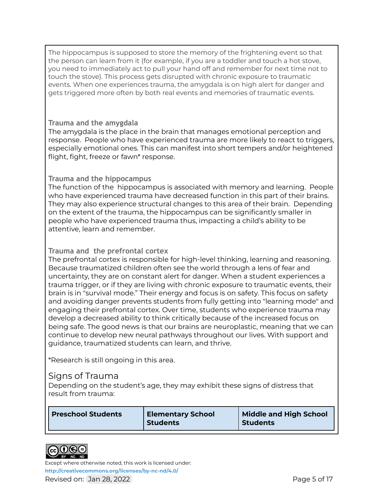The hippocampus is supposed to store the memory of the frightening event so that the person can learn from it (for example, if you are a toddler and touch a hot stove, you need to immediately act to pull your hand off and remember for next time not to touch the stove). This process gets disrupted with chronic exposure to traumatic events. When one experiences trauma, the amygdala is on high alert for danger and gets triggered more often by both real events and memories of traumatic events.

#### **Trauma and the amygdala**

The amygdala is the place in the brain that manages emotional perception and response. People who have experienced trauma are more likely to react to triggers, especially emotional ones. This can manifest into short tempers and/or heightened flight, fight, freeze or fawn\* response.

#### **Trauma and the hippocampus**

The function of the hippocampus is associated with memory and learning. People who have experienced trauma have decreased function in this part of their brains. They may also experience structural changes to this area of their brain. Depending on the extent of the trauma, the hippocampus can be significantly smaller in people who have experienced trauma thus, impacting a child's ability to be attentive, learn and remember.

#### **Trauma and the prefrontal cortex**

The prefrontal cortex is responsible for high-level thinking, learning and reasoning. Because traumatized children often see the world through a lens of fear and uncertainty, they are on constant alert for danger. When a student experiences a trauma trigger, or if they are living with chronic exposure to traumatic events, their brain is in "survival mode." Their energy and focus is on safety. This focus on safety and avoiding danger prevents students from fully getting into "learning mode" and engaging their prefrontal cortex. Over time, students who experience trauma may develop a decreased ability to think critically because of the increased focus on being safe. The good news is that our brains are neuroplastic, meaning that we can continue to develop new neural pathways throughout our lives. With support and guidance, traumatized students can learn, and thrive.

\*Research is still ongoing in this area.

### Signs of Trauma

Depending on the student's age, they may exhibit these signs of distress that result from trauma:

| <b>Preschool Students</b> | <b>Elementary School</b><br><b>Students</b> | <b>Middle and High School</b><br><b>Students</b> |
|---------------------------|---------------------------------------------|--------------------------------------------------|
|---------------------------|---------------------------------------------|--------------------------------------------------|



Except where otherwise noted, this work is licensed under: **<http://creativecommons.org/licenses/by-nc-nd/4.0/>** Revised on: Jan 28, 2022 **Page 5 of 17** Revised on: Jan 28, 2022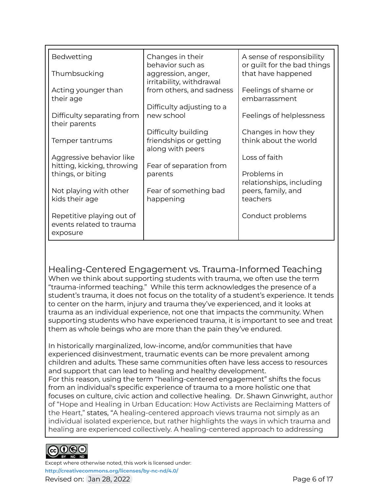| Bedwetting                                                        | Changes in their<br>behavior such as           | A sense of responsibility<br>or guilt for the bad things |
|-------------------------------------------------------------------|------------------------------------------------|----------------------------------------------------------|
| Thumbsucking                                                      | aggression, anger,<br>irritability, withdrawal | that have happened                                       |
| Acting younger than<br>their age                                  | from others, and sadness                       | Feelings of shame or<br>embarrassment                    |
| Difficulty separating from                                        | Difficulty adjusting to a<br>new school        | Feelings of helplessness                                 |
| their parents                                                     | Difficulty building                            | Changes in how they                                      |
| Temper tantrums                                                   | friendships or getting<br>along with peers     | think about the world                                    |
| Aggressive behavior like<br>hitting, kicking, throwing            | Fear of separation from                        | Loss of faith                                            |
| things, or biting                                                 | parents                                        | Problems in<br>relationships, including                  |
| Not playing with other<br>kids their age                          | Fear of something bad<br>happening             | peers, family, and<br>teachers                           |
| Repetitive playing out of<br>events related to trauma<br>exposure |                                                | Conduct problems                                         |

Healing-Centered Engagement vs. Trauma-Informed Teaching

When we think about supporting students with trauma, we often use the term "trauma-informed teaching." While this term acknowledges the presence of a student's trauma, it does not focus on the totality of a student's experience. It tends to center on the harm, injury and trauma they've experienced, and it looks at trauma as an individual experience, not one that impacts the community. When supporting students who have experienced trauma, it is important to see and treat them as whole beings who are more than the pain they've endured.

In historically marginalized, low-income, and/or communities that have experienced disinvestment, traumatic events can be more prevalent among children and adults. These same communities often have less access to resources and support that can lead to healing and healthy development. For this reason, using the term "healing-centered engagement" shifts the focus from an individual's specific experience of trauma to a more holistic one that focuses on culture, civic action and collective healing. Dr. Shawn Ginwright, author of "Hope and Healing in Urban Education: How Activists are Reclaiming Matters of the Heart," states, "A healing-centered approach views trauma not simply as an individual isolated experience, but rather highlights the ways in which trauma and healing are experienced collectively. A healing-centered approach to addressing

#### cc)(i)(<del>S</del>)(= BY NC ND

Except where otherwise noted, this work is licensed under: **<http://creativecommons.org/licenses/by-nc-nd/4.0/>** Revised on: Jan 28, 2022 **Page 6 of 17** Revised on: Jan 28, 2022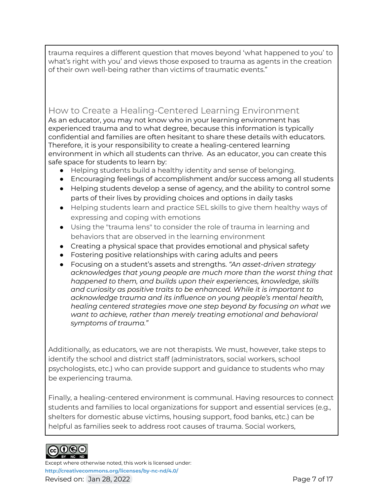trauma requires a different question that moves beyond 'what happened to you' to what's right with you' and views those exposed to trauma as agents in the creation of their own well-being rather than victims of traumatic events."

## How to Create a Healing-Centered Learning Environment

As an educator, you may not know who in your learning environment has experienced trauma and to what degree, because this information is typically confidential and families are often hesitant to share these details with educators. Therefore, it is your responsibility to create a healing-centered learning environment in which all students can thrive. As an educator, you can create this safe space for students to learn by:

- Helping students build a healthy identity and sense of belonging.
- Encouraging feelings of accomplishment and/or success among all students
- Helping students develop a sense of agency, and the ability to control some parts of their lives by providing choices and options in daily tasks
- Helping students learn and practice SEL skills to give them healthy ways of expressing and coping with emotions
- Using the "trauma lens" to consider the role of trauma in learning and behaviors that are observed in the learning environment
- Creating a physical space that provides emotional and physical safety
- Fostering positive relationships with caring adults and peers
- Focusing on a student's assets and strengths. *"An asset-driven strategy acknowledges that young people are much more than the worst thing that happened to them, and builds upon their experiences, knowledge, skills and curiosity as positive traits to be enhanced. While it is important to acknowledge trauma and its influence on young people's mental health, healing centered strategies move one step beyond by focusing on what we want to achieve, rather than merely treating emotional and behavioral symptoms of trauma."*

Additionally, as educators, we are not therapists. We must, however, take steps to identify the school and district staff (administrators, social workers, school psychologists, etc.) who can provide support and guidance to students who may be experiencing trauma.

Finally, a healing-centered environment is communal. Having resources to connect students and families to local organizations for support and essential services (e.g., shelters for domestic abuse victims, housing support, food banks, etc.) can be helpful as families seek to address root causes of trauma. Social workers,



Except where otherwise noted, this work is licensed under: **<http://creativecommons.org/licenses/by-nc-nd/4.0/>** Revised on: Jan 28, 2022 **Page 7 of 17** and 2012 **Page 7 of 17**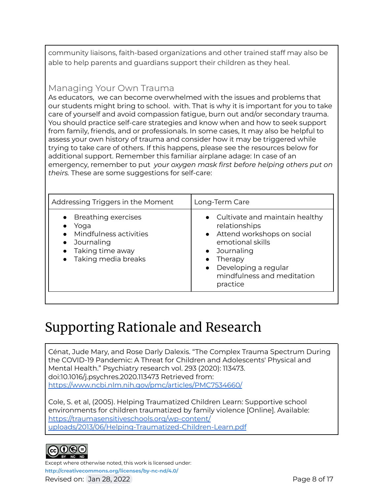community liaisons, faith-based organizations and other trained staff may also be able to help parents and guardians support their children as they heal.

## Managing Your Own Trauma

As educators, we can become overwhelmed with the issues and problems that our students might bring to school. with. That is why it is important for you to take care of yourself and avoid compassion fatigue, burn out and/or secondary trauma. You should practice self-care strategies and know when and how to seek support from family, friends, and or professionals. In some cases, It may also be helpful to assess your own history of trauma and consider how it may be triggered while trying to take care of others. If this happens, please see the resources below for additional support. Remember this familiar airplane adage: In case of an emergency, remember to put *your oxygen mask first before helping others put on theirs.* These are some suggestions for self-care:

| Addressing Triggers in the Moment                                                                                             | Long-Term Care                                                                                                                                                                                                             |
|-------------------------------------------------------------------------------------------------------------------------------|----------------------------------------------------------------------------------------------------------------------------------------------------------------------------------------------------------------------------|
| • Breathing exercises<br>Yoga<br>Mindfulness activities<br>Journaling<br>Taking time away<br>Taking media breaks<br>$\bullet$ | • Cultivate and maintain healthy<br>relationships<br>• Attend workshops on social<br>emotional skills<br>Journaling<br>$\bullet$<br>Therapy<br>Developing a regular<br>$\bullet$<br>mindfulness and meditation<br>practice |

## Supporting Rationale and Research

Cénat, Jude Mary, and Rose Darly Dalexis. "The Complex Trauma Spectrum During the COVID-19 Pandemic: A Threat for Children and Adolescents' Physical and Mental Health." Psychiatry research vol. 293 (2020): 113473. doi:10.1016/j.psychres.2020.113473 Retrieved from: <https://www.ncbi.nlm.nih.gov/pmc/articles/PMC7534660/>

Cole, S. et al, (2005). Helping Traumatized Children Learn: Supportive school environments for children traumatized by family violence [Online]. Available: <https://traumasensitiveschools.org/wp-content/> [uploads/2013/06/Helping-Traumatized-Children-Learn.pdf](https://traumasensitiveschools.org/wp-content/)



Except where otherwise noted, this work is licensed under: **<http://creativecommons.org/licenses/by-nc-nd/4.0/>** Revised on: Jan 28, 2022 **Page 8 of 17** and 2012 **Page 8 of 17**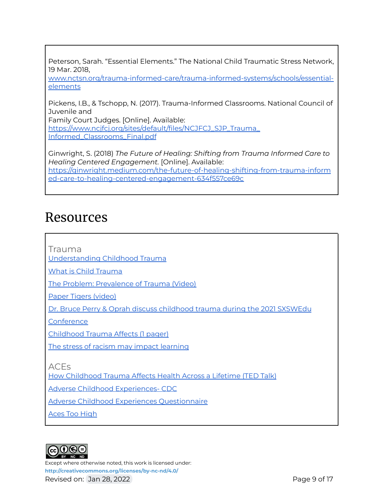Peterson, Sarah. "Essential Elements." The National Child Traumatic Stress Network, 19 Mar. 2018,

[www.nctsn.org/trauma-informed-care/trauma-informed-systems/schools/essential](http://www.nctsn.org/trauma-informed-care/trauma-informed-systems/schools/essential-elements)[elements](http://www.nctsn.org/trauma-informed-care/trauma-informed-systems/schools/essential-elements)

Pickens, I.B., & Tschopp, N. (2017). Trauma-Informed Classrooms. National Council of Juvenile and

Family Court Judges. [Online]. Available: https://www.ncifcj.org/sites/default/files/NCJFCJ\_SJP\_Trauma [Informed\\_Classrooms\\_Final.pdf](https://www.ncjfcj.org/sites/default/files/NCJFCJ_SJP_Trauma_)

Ginwright, S. (2018) *The Future of Healing: Shifting from Trauma Informed Care to Healing Centered Engagement.* [Online]. Available: [https://ginwright.medium.com/the-future-of-healing-shifting-from-trauma-inform](https://ginwright.medium.com/the-future-of-healing-shifting-from-trauma-informed-care-to-healing-centered-engagement-634f557ce69c) [ed-care-to-healing-centered-engagement-634f557ce69c](https://ginwright.medium.com/the-future-of-healing-shifting-from-trauma-informed-care-to-healing-centered-engagement-634f557ce69c)

## Resources

Trauma

[Understanding](https://www.samhsa.gov/child-trauma/understanding-child-trauma) Childhood Trauma

What is Child [Trauma](https://www.nctsn.org/what-is-child-trauma/about-child-trauma)

The Problem: [Prevalence](https://traumasensitiveschools.org/trauma-and-learning/the-problem-prevalence/) of Trauma (Video)

Paper Tigers [\(video\)](https://kpjrfilms.co/paper-tigers/)

Dr. Bruce Perry & Oprah discuss [childhood](https://ant.umn.edu/dkndrnlqng) trauma during the 2021 SXSWEdu

**[Conference](https://ant.umn.edu/dkndrnlqng)** 

[Childhood](https://www.attachmenttraumanetwork.org/wp-content/uploads/TSS-infographic-updated-8-2016-web.pdf) Trauma Affects (1 pager)

The stress of racism may impact [learning](https://www.apmreports.org/episode/2016/10/20/racism-stress)

ACEs

How [Childhood](https://www.ted.com/talks/nadine_burke_harris_how_childhood_trauma_affects_health_across_a_lifetime?language=en) Trauma Affects Health Across a Lifetime (TED Talk)

Adverse Childhood [Experiences-](https://www.cdc.gov/violenceprevention/aces/index.html?CDC_AA_refVal=https%3A%2F%2Fwww.cdc.gov%2Fviolenceprevention%2Facestudy%2Findex.html) CDC

Adverse Childhood Experiences [Questionnaire](http://traumadissociation.com/ace)

Aces Too [High](http://acestoohigh.com)



Except where otherwise noted, this work is licensed under: **<http://creativecommons.org/licenses/by-nc-nd/4.0/>** Revised on: Jan 28, 2022 **Page 9 of 17** and 2012 **Page 9 of 17**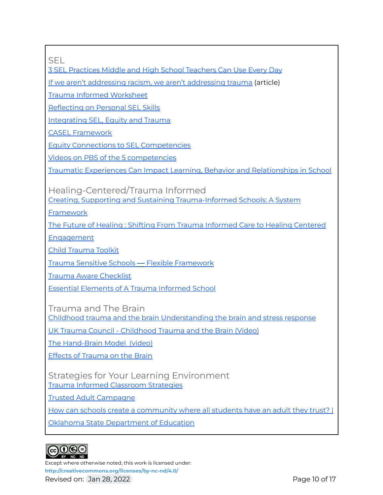SEL

3 SEL [Practices](https://www.edutopia.org/article/3-sel-practices-teachers-can-use-every-day) Middle and High School Teachers Can Use Every Day

If we aren't addressing racism, we aren't [addressing](https://inservice.ascd.org/if-we-arent-addressing-racism-we-arent-addressing-trauma/) trauma (article)

Trauma Informed [Worksheet](https://dtei.uci.edu/wp-content/uploads/sites/48/2020/11/Integrating-Trauma-Informed-Values-Worksheet.pdf)

[Reflecting](https://schoolguide.casel.org/focus-area-2/learn/reflecting-on-personal-sel-skills/) on Personal SEL Skills

[Integrating](https://www.edsurge.com/news/2018-07-02-integrating-sel-equity-and-trauma-work-for-multiplied-success) SEL, Equity and Trauma

CASEL [Framework](https://casel.org/sel-framework/)

Equity Connections to SEL [Competencies](https://drc.casel.org/sel-as-a-lever-for-equity/equity-connections-to-sel-competencies/)

Videos on PBS of the 5 [competencies](https://www.pbslearningmedia.org/resource/self-awareness-social-emotional-learning/social-emotional-learning-video/)

Traumatic Experiences Can Impact Learning, Behavior and [Relationships](https://traumasensitiveschools.org/trauma-and-learning/the-problem-impact/#:~:text=Traumatic%20experiences%20can%20impact%20learning,need%20to%20succeed%20in%20school.) in School

Healing-Centered/Trauma Informed

Creating, Supporting and Sustaining [Trauma-Informed](https://www.nctsn.org/resources/creating-supporting-and-sustaining-trauma-informed-schools-system-framework) Schools: A System

[Framework](https://www.nctsn.org/resources/creating-supporting-and-sustaining-trauma-informed-schools-system-framework)

The Future of Healing : Shifting From Trauma [Informed](https://ginwright.medium.com/the-future-of-healing-shifting-from-trauma-informed-care-to-healing-centered-engagement-634f557ce69c) Care to Healing Centered

[Engagement](https://ginwright.medium.com/the-future-of-healing-shifting-from-trauma-informed-care-to-healing-centered-engagement-634f557ce69c)

Child [Trauma](https://traumaawareschools.org/resources-materials/3162/Child_Trauma_Toolkit_Final.pdf?1385464214) Toolkit

Trauma Sensitive Schools — Flexible [Framework](https://traumasensitiveschools.org/trauma-and-learning/the-flexible-framework/)

Trauma Aware [Checklist](https://docs.google.com/document/d/13yiEXjdErGoaOEh1M2hZtaq2tyfL8woY3tfYI3s30ng/edit)

Essential [Elements](https://www.nctsn.org/trauma-informed-care/trauma-informed-systems/schools/essential-elements) of A Trauma Informed School

Trauma and The Brain

Childhood trauma and the brain [Understanding](https://www.blueknot.org.au/Resources/Information/Understanding-abuse-and-trauma/What-is-childhood-trauma/Childhood-trauma-and-the-brain) the brain and stress response

UK Trauma Council - [Childhood](https://www.youtube.com/watch?v=xYBUY1kZpf8) Trauma and the Brain (Video)

The [Hand-Brain](https://www.youtube.com/watch?v=MsuxoKBYWvI) Model (video)

Effects of [Trauma](https://www.banyanmentalhealth.com/2020/05/12/effects-of-trauma-on-the-brain/) on the Brain

Strategies for Your Learning Environment Trauma Informed [Classroom](https://www.edutopia.org/article/trauma-informed-classroom-strategies) Strategies

Trusted Adult [Campagne](https://sourcesofstrength.org/trusted-adult-campaign/)

How can schools create a [community](https://sde.ok.gov/championexcellence/trust) where all students have an adult they trust? |

Oklahoma State [Department](https://sde.ok.gov/championexcellence/trust) of Education



Except where otherwise noted, this work is licensed under: **<http://creativecommons.org/licenses/by-nc-nd/4.0/>** Revised on: Jan 28, 2022 **Page 10 of 17** Revised on: Jan 28, 2022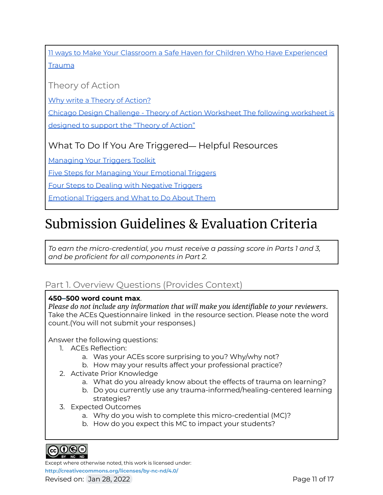11 ways to Make Your Classroom a Safe Haven for Children Who Have [Experienced](https://blog.brookespublishing.com/11-ways-to-make-your-classroom-a-safe-haven-for-children-exposed-to-trauma/?fbclid=IwAR22GiT1KTVIrABoEgJ_eqyN2bLkNwzWLPdPlCYfaWXyI-vBCczjkTfrhn4) **[Trauma](https://blog.brookespublishing.com/11-ways-to-make-your-classroom-a-safe-haven-for-children-exposed-to-trauma/?fbclid=IwAR22GiT1KTVIrABoEgJ_eqyN2bLkNwzWLPdPlCYfaWXyI-vBCczjkTfrhn4)** 

Theory of Action

Why write a Theory of [Action?](https://www.ride.ri.gov/Portals/0/Uploads/Documents/Information-and-Accountability-User-Friendly-Data/Transformation/Theory-Action-One-Pager.pdf)

Chicago Design Challenge - Theory of Action [Worksheet](https://www.abetterchicago.org/wp-content/uploads/Theory-of-Action-Worksheet.pdf) The following worksheet is [designed](https://www.abetterchicago.org/wp-content/uploads/Theory-of-Action-Worksheet.pdf) to support the "Theory of Action"

What To Do If You Are Triggered— Helpful Resources

[Managing](https://mediatorsbeyondborders.org/wp-content/uploads/2020/01/managing-your-triggers-toolkit.pdf) Your Triggers Toolkit

Five Steps for Managing Your [Emotional](https://www.psychologytoday.com/us/blog/wander-woman/201507/5-steps-managing-your-emotional-triggers) Triggers

Four Steps to Dealing with [Negative](https://bigvoicesrise.com/triggers/) Triggers

[Emotional](https://sourcesofinsight.com/emotional-triggers-and-what-to-do-about-them/) Triggers and What to Do About Them

## Submission Guidelines & Evaluation Criteria

*To earn the micro-credential, you must receive a passing score in Parts 1 and 3, and be proficient for all components in Part 2.*

## Part 1. Overview Questions (Provides Context)

### **450–500 word count max**.

*Please do not include any information that will make you identifiable to your reviewers*. Take the ACEs Questionnaire linked in the resource section. Please note the word count.(You will not submit your responses.)

### Answer the following questions:

- 1. ACEs Reflection:
	- a. Was your ACEs score surprising to you? Why/why not?
	- b. How may your results affect your professional practice?
- 2. Activate Prior Knowledge
	- a. What do you already know about the effects of trauma on learning?
	- b. Do you currently use any trauma-informed/healing-centered learning strategies?
- 3. Expected Outcomes
	- a. Why do you wish to complete this micro-credential (MC)?
	- b. How do you expect this MC to impact your students?



Except where otherwise noted, this work is licensed under: **<http://creativecommons.org/licenses/by-nc-nd/4.0/>**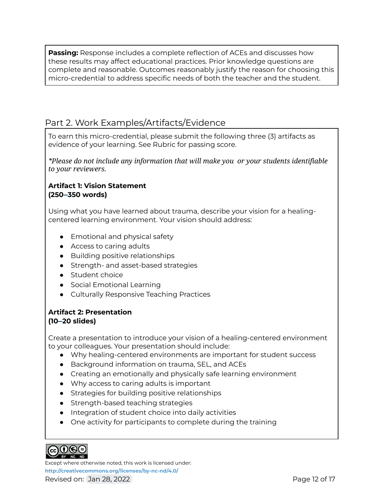**Passing:** Response includes a complete reflection of ACEs and discusses how these results may affect educational practices. Prior knowledge questions are complete and reasonable. Outcomes reasonably justify the reason for choosing this micro-credential to address specific needs of both the teacher and the student.

## Part 2. Work Examples/Artifacts/Evidence

To earn this micro-credential, please submit the following three (3) artifacts as evidence of your learning. See Rubric for passing score.

*\*Please do not include any information that will make you or your students identifiable to your reviewers.*

#### **Artifact 1: Vision Statement (250–350 words)**

Using what you have learned about trauma, describe your vision for a healingcentered learning environment. Your vision should address:

- Emotional and physical safety
- Access to caring adults
- Building positive relationships
- Strength- and asset-based strategies
- Student choice
- Social Emotional Learning
- Culturally Responsive Teaching Practices

#### **Artifact 2: Presentation (10–20 slides)**

Create a presentation to introduce your vision of a healing-centered environment to your colleagues. Your presentation should include:

- Why healing-centered environments are important for student success
- Background information on trauma, SEL, and ACEs
- Creating an emotionally and physically safe learning environment
- Why access to caring adults is important
- Strategies for building positive relationships
- Strength-based teaching strategies
- Integration of student choice into daily activities
- One activity for participants to complete during the training



Except where otherwise noted, this work is licensed under: **<http://creativecommons.org/licenses/by-nc-nd/4.0/>** Revised on: Jan 28, 2022 **Page 12 of 17** Page 12 of 17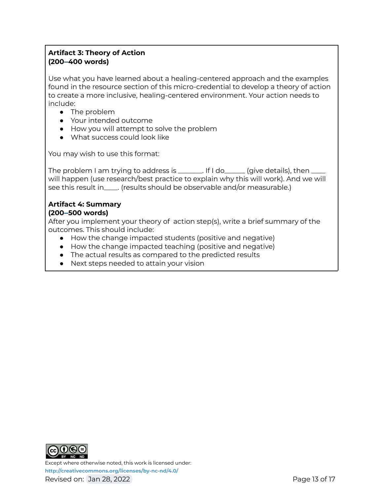## **Artifact 3: Theory of Action (200–400 words)**

Use what you have learned about a healing-centered approach and the examples found in the resource section of this micro-credential to develop a theory of action to create a more inclusive, healing-centered environment. Your action needs to include:

- The problem
- Your intended outcome
- How you will attempt to solve the problem
- What success could look like

You may wish to use this format:

The problem I am trying to address is \_\_\_\_\_\_\_. If I do\_\_\_\_\_\_ (give details), then \_\_ will happen (use research/best practice to explain why this will work). And we will see this result in\_\_\_\_. (results should be observable and/or measurable.)

#### **Artifact 4: Summary (200–500 words)**

After you implement your theory of action step(s), write a brief summary of the outcomes. This should include:

- How the change impacted students (positive and negative)
- How the change impacted teaching (positive and negative)
- The actual results as compared to the predicted results
- Next steps needed to attain your vision



Except where otherwise noted, this work is licensed under: **<http://creativecommons.org/licenses/by-nc-nd/4.0/>** Revised on: Jan 28, 2022 **Page 13 of 17** and 2012 **Page 13 of 17**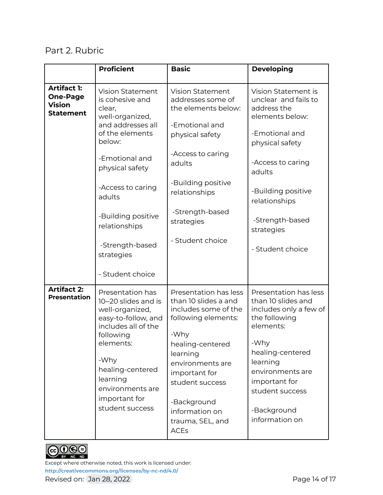## Part 2. Rubric

|                                                                            | <b>Proficient</b>                                                                                                                                                                                                                  | <b>Basic</b>                                                                                                                                                                                                                                                     | <b>Developing</b>                                                                                                                                                                                                                    |
|----------------------------------------------------------------------------|------------------------------------------------------------------------------------------------------------------------------------------------------------------------------------------------------------------------------------|------------------------------------------------------------------------------------------------------------------------------------------------------------------------------------------------------------------------------------------------------------------|--------------------------------------------------------------------------------------------------------------------------------------------------------------------------------------------------------------------------------------|
| <b>Artifact 1:</b><br><b>One-Page</b><br><b>Vision</b><br><b>Statement</b> | <b>Vision Statement</b><br>is cohesive and<br>clear,<br>well-organized,<br>and addresses all<br>of the elements<br>below:                                                                                                          | <b>Vision Statement</b><br>addresses some of<br>the elements below:<br>-Emotional and<br>physical safety<br>-Access to caring                                                                                                                                    | Vision Statement is<br>unclear and fails to<br>address the<br>elements below:<br>-Emotional and<br>physical safety                                                                                                                   |
|                                                                            | -Emotional and<br>physical safety                                                                                                                                                                                                  | adults                                                                                                                                                                                                                                                           | -Access to caring<br>adults                                                                                                                                                                                                          |
|                                                                            | -Access to caring<br>adults                                                                                                                                                                                                        | -Building positive<br>relationships                                                                                                                                                                                                                              | -Building positive<br>relationships                                                                                                                                                                                                  |
|                                                                            | -Building positive<br>relationships                                                                                                                                                                                                | -Strength-based<br>strategies                                                                                                                                                                                                                                    | -Strength-based<br>strategies                                                                                                                                                                                                        |
|                                                                            | -Strength-based<br>strategies                                                                                                                                                                                                      | - Student choice                                                                                                                                                                                                                                                 | - Student choice                                                                                                                                                                                                                     |
|                                                                            | - Student choice                                                                                                                                                                                                                   |                                                                                                                                                                                                                                                                  |                                                                                                                                                                                                                                      |
| <b>Artifact 2:</b><br><b>Presentation</b>                                  | Presentation has<br>10-20 slides and is<br>well-organized,<br>easy-to-follow, and<br>includes all of the<br>following<br>elements:<br>-Why<br>healing-centered<br>learning<br>environments are<br>important for<br>student success | Presentation has less<br>than 10 slides a and<br>includes some of the<br>following elements:<br>-Why<br>healing-centered<br>learning<br>environments are<br>important for<br>student success<br>-Background<br>information on<br>trauma, SEL, and<br><b>ACEs</b> | Presentation has less<br>than 10 slides and<br>includes only a few of<br>the following<br>elements:<br>-Why<br>healing-centered<br>learning<br>environments are<br>important for<br>student success<br>-Background<br>information on |



Except where otherwise noted, this work is licensed under: **<http://creativecommons.org/licenses/by-nc-nd/4.0/>** Revised on: Jan 28, 2022 **Page 14 of 17**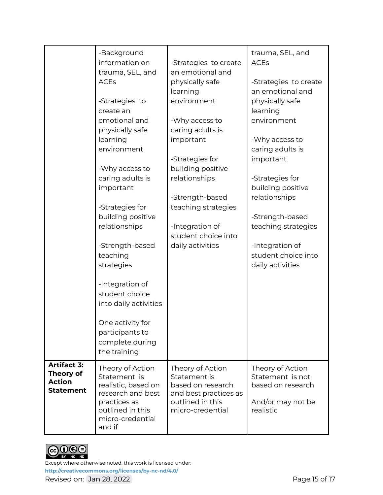|                                                                      | -Background<br>information on<br>trauma, SEL, and<br><b>ACEs</b><br>-Strategies to<br>create an<br>emotional and<br>physically safe<br>learning<br>environment<br>-Why access to<br>caring adults is<br>important<br>-Strategies for<br>building positive<br>relationships<br>-Strength-based<br>teaching<br>strategies<br>-Integration of<br>student choice<br>into daily activities<br>One activity for<br>participants to<br>complete during | -Strategies to create<br>an emotional and<br>physically safe<br>learning<br>environment<br>-Why access to<br>caring adults is<br>important<br>-Strategies for<br>building positive<br>relationships<br>-Strength-based<br>teaching strategies<br>-Integration of<br>student choice into<br>daily activities | trauma, SEL, and<br><b>ACEs</b><br>-Strategies to create<br>an emotional and<br>physically safe<br>learning<br>environment<br>-Why access to<br>caring adults is<br>important<br>-Strategies for<br>building positive<br>relationships<br>-Strength-based<br>teaching strategies<br>-Integration of<br>student choice into<br>daily activities |
|----------------------------------------------------------------------|-------------------------------------------------------------------------------------------------------------------------------------------------------------------------------------------------------------------------------------------------------------------------------------------------------------------------------------------------------------------------------------------------------------------------------------------------|-------------------------------------------------------------------------------------------------------------------------------------------------------------------------------------------------------------------------------------------------------------------------------------------------------------|------------------------------------------------------------------------------------------------------------------------------------------------------------------------------------------------------------------------------------------------------------------------------------------------------------------------------------------------|
|                                                                      | the training                                                                                                                                                                                                                                                                                                                                                                                                                                    |                                                                                                                                                                                                                                                                                                             |                                                                                                                                                                                                                                                                                                                                                |
| <b>Artifact 3:</b><br>Theory of<br><b>Action</b><br><b>Statement</b> | Theory of Action<br>Statement is<br>realistic, based on<br>research and best<br>practices as<br>outlined in this<br>micro-credential<br>and if                                                                                                                                                                                                                                                                                                  | Theory of Action<br>Statement is<br>based on research<br>and best practices as<br>outlined in this<br>micro-credential                                                                                                                                                                                      | Theory of Action<br>Statement is not<br>based on research<br>And/or may not be<br>realistic                                                                                                                                                                                                                                                    |



Except where otherwise noted, this work is licensed under: **<http://creativecommons.org/licenses/by-nc-nd/4.0/>** Revised on: Jan 28, 2022 **Page 15 of 17** Revised on: Jan 28, 2022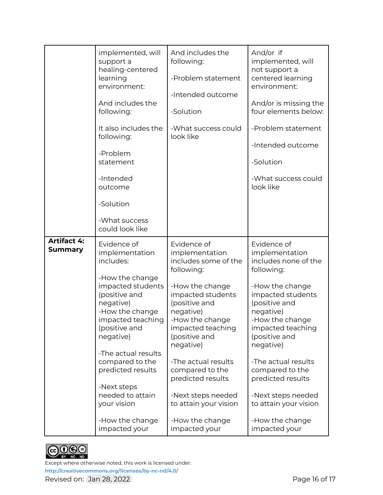|                               | implemented, will<br>support a<br>healing-centered<br>learning<br>environment:<br>And includes the<br>following:<br>It also includes the<br>following:<br>-Problem<br>statement<br>-Intended<br>outcome<br>-Solution<br>-What success<br>could look like                                                                                    | And includes the<br>following:<br>-Problem statement<br>-Intended outcome<br>-Solution<br>-What success could<br>look like                                                                                                                                                                                                                                        | And/or if<br>implemented, will<br>not support a<br>centered learning<br>environment:<br>And/or is missing the<br>four elements below:<br>-Problem statement<br>-Intended outcome<br>-Solution<br>-What success could<br>look like                                                                                                                                 |
|-------------------------------|---------------------------------------------------------------------------------------------------------------------------------------------------------------------------------------------------------------------------------------------------------------------------------------------------------------------------------------------|-------------------------------------------------------------------------------------------------------------------------------------------------------------------------------------------------------------------------------------------------------------------------------------------------------------------------------------------------------------------|-------------------------------------------------------------------------------------------------------------------------------------------------------------------------------------------------------------------------------------------------------------------------------------------------------------------------------------------------------------------|
| <b>Artifact 4:</b><br>Summary | Evidence of<br>implementation<br>includes:<br>-How the change<br>impacted students<br>(positive and<br>negative)<br>-How the change<br>impacted teaching<br>(positive and<br>negative)<br>-The actual results<br>compared to the<br>predicted results<br>-Next steps<br>needed to attain<br>your vision<br>-How the change<br>impacted your | Evidence of<br>implementation<br>includes some of the<br>following:<br>-How the change<br>impacted students<br>(positive and<br>negative)<br>-How the change<br>impacted teaching<br>(positive and<br>negative)<br>-The actual results<br>compared to the<br>predicted results<br>-Next steps needed<br>to attain your vision<br>-How the change<br>impacted your | Evidence of<br>implementation<br>includes none of the<br>following:<br>-How the change<br>impacted students<br>(positive and<br>negative)<br>-How the change<br>impacted teaching<br>(positive and<br>negative)<br>-The actual results<br>compared to the<br>predicted results<br>-Next steps needed<br>to attain your vision<br>-How the change<br>impacted your |



Except where otherwise noted, this work is licensed under: **<http://creativecommons.org/licenses/by-nc-nd/4.0/>** Revised on: Jan 28, 2022 **Page 16 of 17** Revised on: Jan 28, 2022